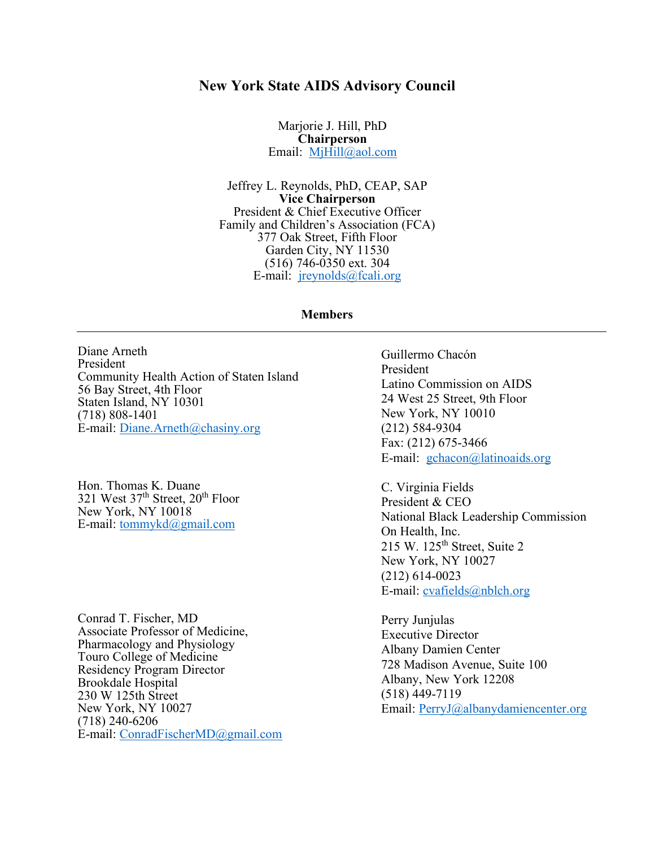## **New York State AIDS Advisory Council**

Marjorie J. Hill, PhD **Chairperson** Email: [MjHill@aol.com](mailto:MjHill@aol.com)

Jeffrey L. Reynolds, PhD, CEAP, SAP **Vice Chairperson** President & Chief Executive Officer Family and Children's Association (FCA) 377 Oak Street, Fifth Floor Garden City, NY 11530 (516) 746-0350 ext. 304 E-mail: [jreynolds@fcali.org](mailto:jreynolds@familyandchildrens.org)

## **Members**

Diane Arneth President Community Health Action of Staten Island 56 Bay Street, 4th Floor Staten Island, NY 10301 (718) 808-1401 E-mail: [Diane.Arneth@chasiny.org](mailto:Diane.Arneth@chasiny.org)

Hon. Thomas K. Duane 321 West  $37<sup>th</sup>$  Street,  $20<sup>th</sup>$  Floor New York, NY 10018 E-mail: [tommykd@gmail.com](mailto:tommykd@gmail.com)

Conrad T. Fischer, MD Associate Professor of Medicine, Pharmacology and Physiology Touro College of Medicine Residency Program Director Brookdale Hospital 230 W 125th Street New York, NY 10027 (718) 240-6206 E-mail: [ConradFischerMD@gmail.com](mailto:ConradFischerMD@gmail.com) Guillermo Chacón President Latino Commission on AIDS 24 West 25 Street, 9th Floor New York, NY 10010 (212) 584-9304 Fax: (212) 675-3466 E-mail: [gchacon@latinoaids.org](mailto:gchacon@latinoaids.org)

C. Virginia Fields President & CEO National Black Leadership Commission On Health, Inc. 215 W. 125<sup>th</sup> Street, Suite 2 New York, NY 10027 (212) 614-0023 E-mail: [cvafields@nblch.org](mailto:cvafields@nblch.org)

Perry Junjulas Executive Director Albany Damien Center 728 Madison Avenue, Suite 100 Albany, New York 12208 (518) 449-7119 Email: [PerryJ@albanydamiencenter.org](mailto:PerryJ@albanydamiencenter.org)